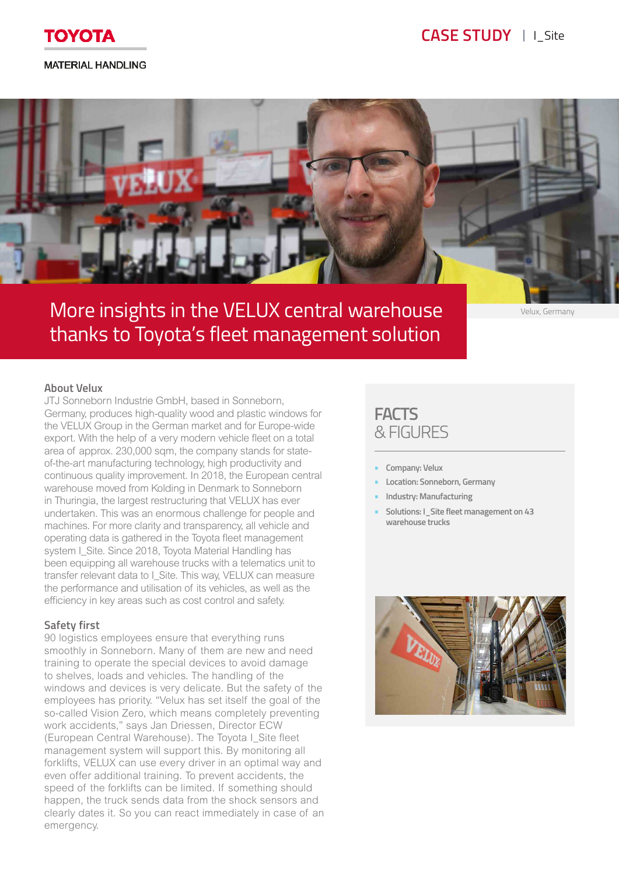

# **MATERIAL HANDLING**



# More insights in the VELUX central warehouse thanks to Toyota's fleet management solution

Velux, Germany

### **About Velux**

JTJ Sonneborn Industrie GmbH, based in Sonneborn, Germany, produces high-quality wood and plastic windows for the VELUX Group in the German market and for Europe-wide export. With the help of a very modern vehicle fleet on a total area of approx. 230,000 sqm, the company stands for stateof-the-art manufacturing technology, high productivity and continuous quality improvement. In 2018, the European central warehouse moved from Kolding in Denmark to Sonneborn in Thuringia, the largest restructuring that VELUX has ever undertaken. This was an enormous challenge for people and machines. For more clarity and transparency, all vehicle and operating data is gathered in the Toyota fleet management system I\_Site. Since 2018, Toyota Material Handling has been equipping all warehouse trucks with a telematics unit to transfer relevant data to I Site. This way, VELUX can measure the performance and utilisation of its vehicles, as well as the efficiency in key areas such as cost control and safety.

### **Safety first**

90 logistics employees ensure that everything runs smoothly in Sonneborn. Many of them are new and need training to operate the special devices to avoid damage to shelves, loads and vehicles. The handling of the windows and devices is very delicate. But the safety of the employees has priority. "Velux has set itself the goal of the so-called Vision Zero, which means completely preventing work accidents," says Jan Driessen, Director ECW (European Central Warehouse). The Toyota I\_Site fleet management system will support this. By monitoring all forklifts, VELUX can use every driver in an optimal way and even offer additional training. To prevent accidents, the speed of the forklifts can be limited. If something should happen, the truck sends data from the shock sensors and clearly dates it. So you can react immediately in case of an emergency.

# **FACTS** & FIGURES

- **• Company: Velux**
- **• Location: Sonneborn, Germany**
- **• Industry: Manufacturing**
- **• Solutions: I\_Site fleet management on 43 warehouse trucks**